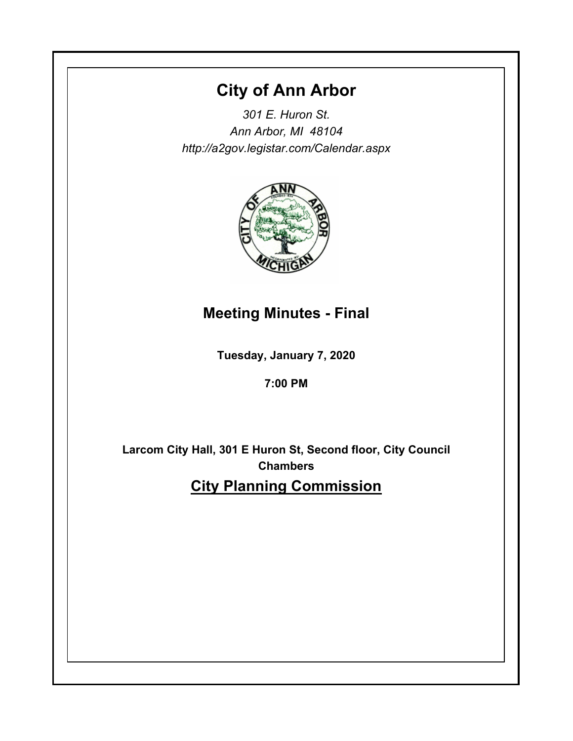# **City of Ann Arbor**

*301 E. Huron St. Ann Arbor, MI 48104 http://a2gov.legistar.com/Calendar.aspx*



# **Meeting Minutes - Final**

**Tuesday, January 7, 2020**

**7:00 PM**

**Larcom City Hall, 301 E Huron St, Second floor, City Council Chambers City Planning Commission**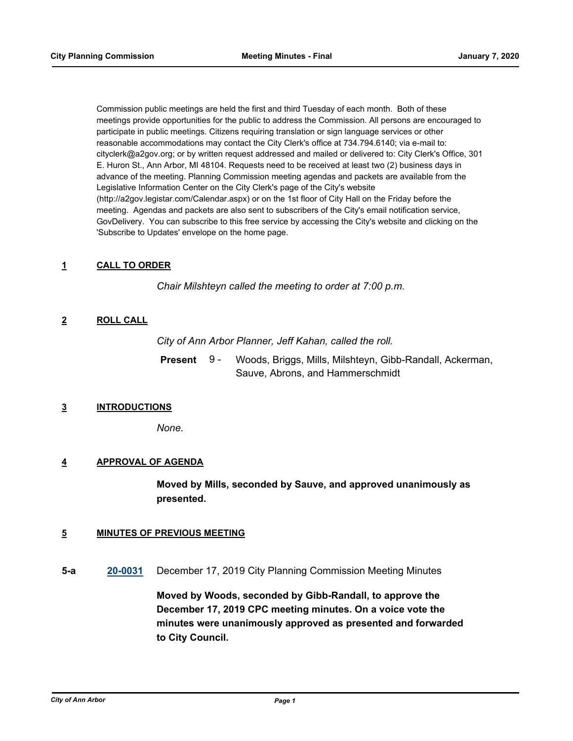Commission public meetings are held the first and third Tuesday of each month. Both of these meetings provide opportunities for the public to address the Commission. All persons are encouraged to participate in public meetings. Citizens requiring translation or sign language services or other reasonable accommodations may contact the City Clerk's office at 734.794.6140; via e-mail to: cityclerk@a2gov.org; or by written request addressed and mailed or delivered to: City Clerk's Office, 301 E. Huron St., Ann Arbor, MI 48104. Requests need to be received at least two (2) business days in advance of the meeting. Planning Commission meeting agendas and packets are available from the Legislative Information Center on the City Clerk's page of the City's website (http://a2gov.legistar.com/Calendar.aspx) or on the 1st floor of City Hall on the Friday before the meeting. Agendas and packets are also sent to subscribers of the City's email notification service, GovDelivery. You can subscribe to this free service by accessing the City's website and clicking on the 'Subscribe to Updates' envelope on the home page.

## **1 CALL TO ORDER**

*Chair Milshteyn called the meeting to order at 7:00 p.m.*

## **2 ROLL CALL**

*City of Ann Arbor Planner, Jeff Kahan, called the roll.*

Woods, Briggs, Mills, Milshteyn, Gibb-Randall, Ackerman, Sauve, Abrons, and Hammerschmidt **Present** 9 -

## **3 INTRODUCTIONS**

*None.*

## **4 APPROVAL OF AGENDA**

**Moved by Mills, seconded by Sauve, and approved unanimously as presented.**

## **5 MINUTES OF PREVIOUS MEETING**

**5-a [20-0031](http://a2gov.legistar.com/gateway.aspx?M=L&ID=24070)** December 17, 2019 City Planning Commission Meeting Minutes

**Moved by Woods, seconded by Gibb-Randall, to approve the December 17, 2019 CPC meeting minutes. On a voice vote the minutes were unanimously approved as presented and forwarded to City Council.**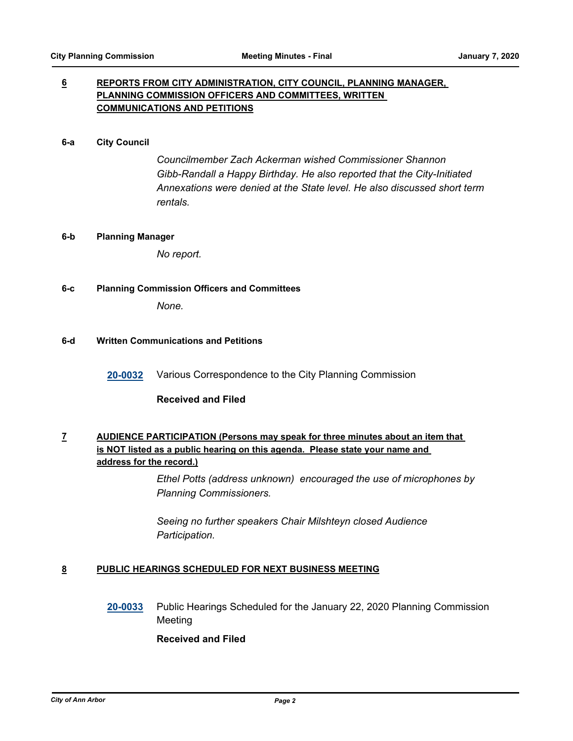## **6 REPORTS FROM CITY ADMINISTRATION, CITY COUNCIL, PLANNING MANAGER, PLANNING COMMISSION OFFICERS AND COMMITTEES, WRITTEN COMMUNICATIONS AND PETITIONS**

#### **6-a City Council**

*Councilmember Zach Ackerman wished Commissioner Shannon Gibb-Randall a Happy Birthday. He also reported that the City-Initiated Annexations were denied at the State level. He also discussed short term rentals.*

#### **6-b Planning Manager**

*No report.*

## **6-c Planning Commission Officers and Committees**

*None.*

## **6-d Written Communications and Petitions**

**[20-0032](http://a2gov.legistar.com/gateway.aspx?M=L&ID=24071)** Various Correspondence to the City Planning Commission

## **Received and Filed**

# **7 AUDIENCE PARTICIPATION (Persons may speak for three minutes about an item that is NOT listed as a public hearing on this agenda. Please state your name and address for the record.)**

*Ethel Potts (address unknown) encouraged the use of microphones by Planning Commissioners.* 

*Seeing no further speakers Chair Milshteyn closed Audience Participation.*

## **8 PUBLIC HEARINGS SCHEDULED FOR NEXT BUSINESS MEETING**

**[20-0033](http://a2gov.legistar.com/gateway.aspx?M=L&ID=24072)** Public Hearings Scheduled for the January 22, 2020 Planning Commission **Meeting** 

## **Received and Filed**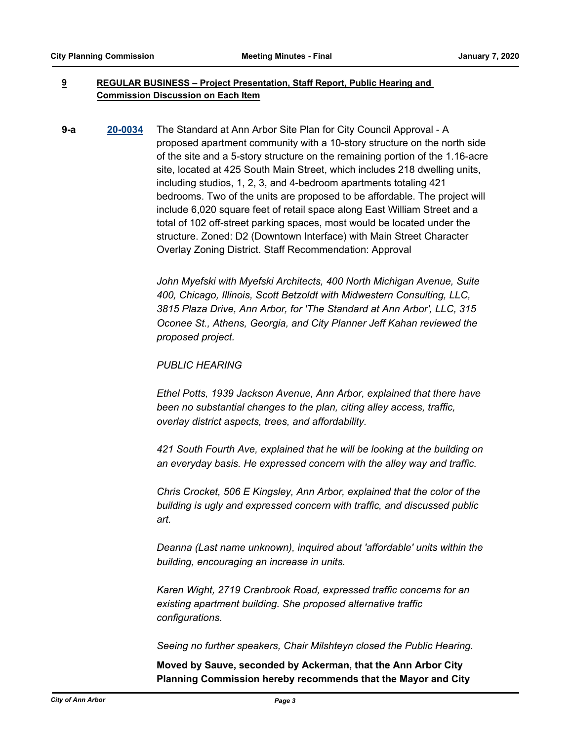## **9 REGULAR BUSINESS – Project Presentation, Staff Report, Public Hearing and Commission Discussion on Each Item**

**9-a [20-0034](http://a2gov.legistar.com/gateway.aspx?M=L&ID=24073)** The Standard at Ann Arbor Site Plan for City Council Approval - A proposed apartment community with a 10-story structure on the north side of the site and a 5-story structure on the remaining portion of the 1.16-acre site, located at 425 South Main Street, which includes 218 dwelling units, including studios, 1, 2, 3, and 4-bedroom apartments totaling 421 bedrooms. Two of the units are proposed to be affordable. The project will include 6,020 square feet of retail space along East William Street and a total of 102 off-street parking spaces, most would be located under the structure. Zoned: D2 (Downtown Interface) with Main Street Character Overlay Zoning District. Staff Recommendation: Approval

> *John Myefski with Myefski Architects, 400 North Michigan Avenue, Suite 400, Chicago, Illinois, Scott Betzoldt with Midwestern Consulting, LLC, 3815 Plaza Drive, Ann Arbor, for 'The Standard at Ann Arbor', LLC, 315 Oconee St., Athens, Georgia, and City Planner Jeff Kahan reviewed the proposed project.*

## *PUBLIC HEARING*

*Ethel Potts, 1939 Jackson Avenue, Ann Arbor, explained that there have been no substantial changes to the plan, citing alley access, traffic, overlay district aspects, trees, and affordability.* 

*421 South Fourth Ave, explained that he will be looking at the building on an everyday basis. He expressed concern with the alley way and traffic.* 

*Chris Crocket, 506 E Kingsley, Ann Arbor, explained that the color of the building is ugly and expressed concern with traffic, and discussed public art.* 

*Deanna (Last name unknown), inquired about 'affordable' units within the building, encouraging an increase in units.* 

*Karen Wight, 2719 Cranbrook Road, expressed traffic concerns for an existing apartment building. She proposed alternative traffic configurations.* 

*Seeing no further speakers, Chair Milshteyn closed the Public Hearing.*

**Moved by Sauve, seconded by Ackerman, that the Ann Arbor City Planning Commission hereby recommends that the Mayor and City**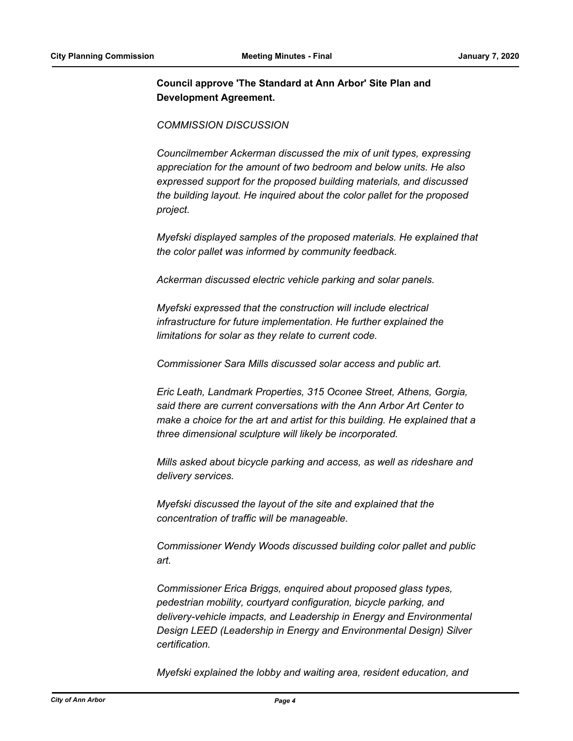# **Council approve 'The Standard at Ann Arbor' Site Plan and Development Agreement.**

## *COMMISSION DISCUSSION*

*Councilmember Ackerman discussed the mix of unit types, expressing appreciation for the amount of two bedroom and below units. He also expressed support for the proposed building materials, and discussed the building layout. He inquired about the color pallet for the proposed project.* 

*Myefski displayed samples of the proposed materials. He explained that the color pallet was informed by community feedback.* 

*Ackerman discussed electric vehicle parking and solar panels.*

*Myefski expressed that the construction will include electrical infrastructure for future implementation. He further explained the limitations for solar as they relate to current code.* 

*Commissioner Sara Mills discussed solar access and public art.* 

*Eric Leath, Landmark Properties, 315 Oconee Street, Athens, Gorgia, said there are current conversations with the Ann Arbor Art Center to make a choice for the art and artist for this building. He explained that a three dimensional sculpture will likely be incorporated.* 

*Mills asked about bicycle parking and access, as well as rideshare and delivery services.* 

*Myefski discussed the layout of the site and explained that the concentration of traffic will be manageable.* 

*Commissioner Wendy Woods discussed building color pallet and public art.* 

*Commissioner Erica Briggs, enquired about proposed glass types, pedestrian mobility, courtyard configuration, bicycle parking, and delivery-vehicle impacts, and Leadership in Energy and Environmental Design LEED (Leadership in Energy and Environmental Design) Silver certification.*

*Myefski explained the lobby and waiting area, resident education, and*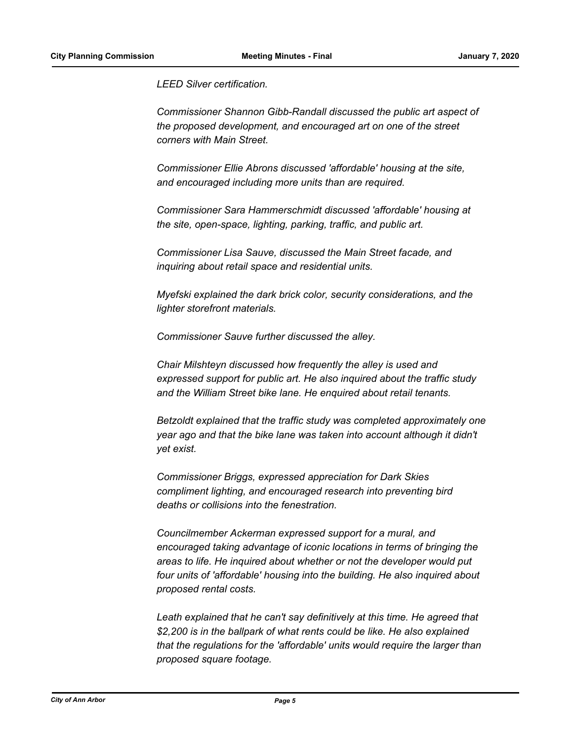*LEED Silver certification.* 

*Commissioner Shannon Gibb-Randall discussed the public art aspect of the proposed development, and encouraged art on one of the street corners with Main Street.* 

*Commissioner Ellie Abrons discussed 'affordable' housing at the site, and encouraged including more units than are required.* 

*Commissioner Sara Hammerschmidt discussed 'affordable' housing at the site, open-space, lighting, parking, traffic, and public art.*

*Commissioner Lisa Sauve, discussed the Main Street facade, and inquiring about retail space and residential units.* 

*Myefski explained the dark brick color, security considerations, and the lighter storefront materials.* 

*Commissioner Sauve further discussed the alley.* 

*Chair Milshteyn discussed how frequently the alley is used and expressed support for public art. He also inquired about the traffic study and the William Street bike lane. He enquired about retail tenants.* 

*Betzoldt explained that the traffic study was completed approximately one year ago and that the bike lane was taken into account although it didn't yet exist.* 

*Commissioner Briggs, expressed appreciation for Dark Skies compliment lighting, and encouraged research into preventing bird deaths or collisions into the fenestration.* 

*Councilmember Ackerman expressed support for a mural, and encouraged taking advantage of iconic locations in terms of bringing the areas to life. He inquired about whether or not the developer would put four units of 'affordable' housing into the building. He also inquired about proposed rental costs.* 

Leath explained that he can't say definitively at this time. He agreed that *\$2,200 is in the ballpark of what rents could be like. He also explained that the regulations for the 'affordable' units would require the larger than proposed square footage.*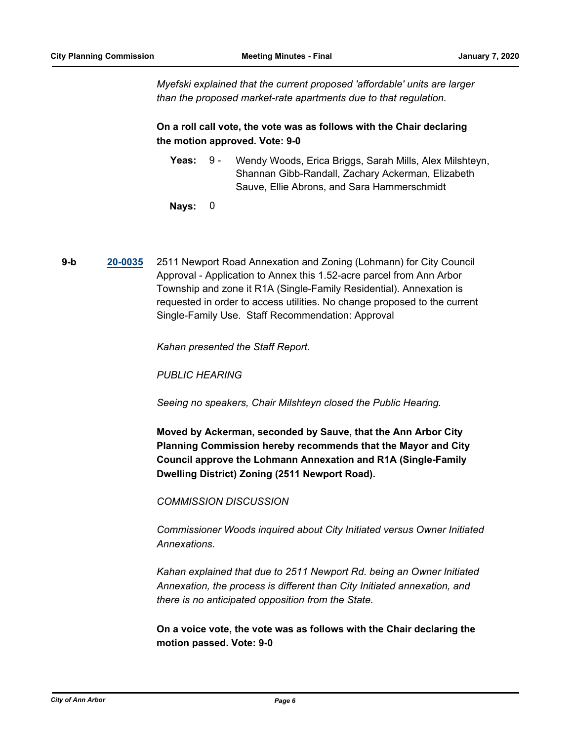*Myefski explained that the current proposed 'affordable' units are larger than the proposed market-rate apartments due to that regulation.*

# **On a roll call vote, the vote was as follows with the Chair declaring the motion approved. Vote: 9-0**

- Yeas: 9 Wendy Woods, Erica Briggs, Sarah Mills, Alex Milshteyn, Shannan Gibb-Randall, Zachary Ackerman, Elizabeth Sauve, Ellie Abrons, and Sara Hammerschmidt 9 -
- **Nays:** 0
- **9-b [20-0035](http://a2gov.legistar.com/gateway.aspx?M=L&ID=24074)** 2511 Newport Road Annexation and Zoning (Lohmann) for City Council Approval - Application to Annex this 1.52-acre parcel from Ann Arbor Township and zone it R1A (Single-Family Residential). Annexation is requested in order to access utilities. No change proposed to the current Single-Family Use. Staff Recommendation: Approval

*Kahan presented the Staff Report.* 

*PUBLIC HEARING*

*Seeing no speakers, Chair Milshteyn closed the Public Hearing.*

**Moved by Ackerman, seconded by Sauve, that the Ann Arbor City Planning Commission hereby recommends that the Mayor and City Council approve the Lohmann Annexation and R1A (Single-Family Dwelling District) Zoning (2511 Newport Road).**

*COMMISSION DISCUSSION*

*Commissioner Woods inquired about City Initiated versus Owner Initiated Annexations.* 

*Kahan explained that due to 2511 Newport Rd. being an Owner Initiated Annexation, the process is different than City Initiated annexation, and there is no anticipated opposition from the State.*

**On a voice vote, the vote was as follows with the Chair declaring the motion passed. Vote: 9-0**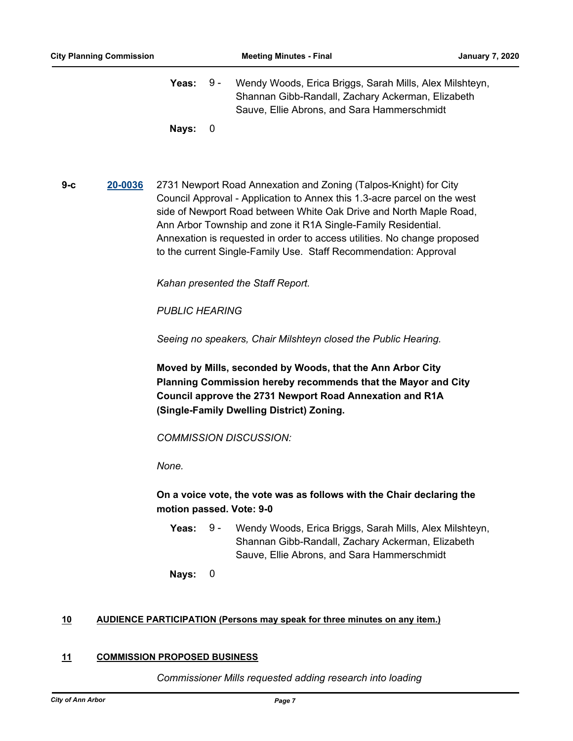Yeas: 9 - Wendy Woods, Erica Briggs, Sarah Mills, Alex Milshteyn, Shannan Gibb-Randall, Zachary Ackerman, Elizabeth Sauve, Ellie Abrons, and Sara Hammerschmidt 9 -

**Nays:** 0

**9-c [20-0036](http://a2gov.legistar.com/gateway.aspx?M=L&ID=24075)** 2731 Newport Road Annexation and Zoning (Talpos-Knight) for City Council Approval - Application to Annex this 1.3-acre parcel on the west side of Newport Road between White Oak Drive and North Maple Road, Ann Arbor Township and zone it R1A Single-Family Residential. Annexation is requested in order to access utilities. No change proposed to the current Single-Family Use. Staff Recommendation: Approval

*Kahan presented the Staff Report.* 

*PUBLIC HEARING*

*Seeing no speakers, Chair Milshteyn closed the Public Hearing.*

**Moved by Mills, seconded by Woods, that the Ann Arbor City Planning Commission hereby recommends that the Mayor and City Council approve the 2731 Newport Road Annexation and R1A (Single-Family Dwelling District) Zoning.**

*COMMISSION DISCUSSION:*

*None.*

**On a voice vote, the vote was as follows with the Chair declaring the motion passed. Vote: 9-0**

- **Yeas:** 9 Wendy Woods, Erica Briggs, Sarah Mills, Alex Milshteyn, Shannan Gibb-Randall, Zachary Ackerman, Elizabeth Sauve, Ellie Abrons, and Sara Hammerschmidt 9 -
- **Nays:** 0

## **10 AUDIENCE PARTICIPATION (Persons may speak for three minutes on any item.)**

## **11 COMMISSION PROPOSED BUSINESS**

*Commissioner Mills requested adding research into loading*